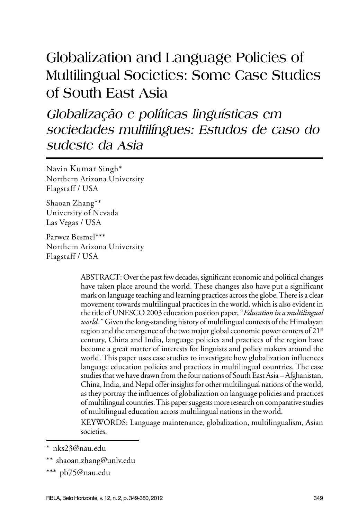# **Globalization and Language Policies of Multilingual Societies: Some Case Studies of South East Asia**

**Globalização e políticas linguísticas em sociedades multilíngues: Estudos de caso do sudeste da Asia**

Navin Kumar Singh\* Northern Arizona University Flagstaff / USA

Shaoan Zhang\*\* University of Nevada Las Vegas / USA

Parwez Besmel\*\*\* Northern Arizona University Flagstaff / USA

> ABSTRACT: Over the past few decades, significant economic and political changes have taken place around the world. These changes also have put a significant mark on language teaching and learning practices across the globe. There is a clear movement towards multilingual practices in the world, which is also evident in the title of UNESCO 2003 education position paper, "*Education in a multilingual world."* Given the long-standing history of multilingual contexts of the Himalayan region and the emergence of the two major global economic power centers of  $21<sup>st</sup>$ century, China and India, language policies and practices of the region have become a great matter of interests for linguists and policy makers around the world. This paper uses case studies to investigate how globalization influences language education policies and practices in multilingual countries. The case studies that we have drawn from the four nations of South East Asia – Afghanistan, China, India, and Nepal offer insights for other multilingual nations of the world, as they portray the influences of globalization on language policies and practices of multilingual countries. This paper suggests more research on comparative studies of multilingual education across multilingual nations in the world.

> KEYWORDS: Language maintenance, globalization, multilingualism, Asian societies.

<sup>\*</sup> nks23@nau.edu

<sup>\*\*</sup> shaoan.zhang@unlv.edu

<sup>\*\*\*</sup> pb75@nau.edu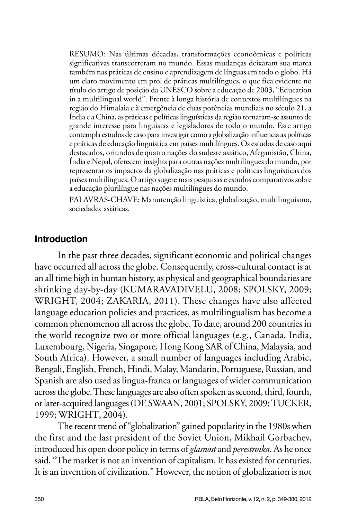RESUMO: Nas últimas décadas, transformações econoômicas e políticas significativas transcorreram no mundo. Essas mudanças deixaram sua marca também nas práticas de ensino e aprendizagem de línguas em todo o globo. Há um claro movimento em prol de práticas multilíngues, o que fica evidente no título do artigo de posição da UNESCO sobre a educação de 2003, "Education in a multilingual world". Frente à longa história de contextos multilíngues na região do Himalaia e à emergência de duas potências mundiais no século 21, a Índia e a China, as práticas e políticas linguísticas da região tornaram-se assunto de grande interesse para linguistas e legisladores de todo o mundo. Este artigo contempla estudos de caso para investigar como a globalização influencia as políticas e práticas de educação linguística em países multilíngues. Os estudos de caso aqui destacados, oriundos de quatro nações do sudeste asiático, Afeganistão, China, Índia e Nepal, oferecem insights para outras nações multilíngues do mundo, por representar os impactos da globalização nas práticas e políticas linguísticas dos países multilíngues. O artigo sugere mais pesquisas e estudos comparativos sobre a educação plurilíngue nas nações multilíngues do mundo.

PALAVRAS-CHAVE: Manutenção linguística, globalização, multilinguismo, sociedades asiáticas.

#### **Introduction**

In the past three decades, significant economic and political changes have occurred all across the globe. Consequently, cross-cultural contact is at an all time high in human history, as physical and geographical boundaries are shrinking day-by-day (KUMARAVADIVELU, 2008; SPOLSKY, 2009; WRIGHT, 2004; ZAKARIA, 2011). These changes have also affected language education policies and practices, as multilingualism has become a common phenomenon all across the globe. To date, around 200 countries in the world recognize two or more official languages (e.g., Canada, India, Luxembourg, Nigeria, Singapore, Hong Kong SAR of China, Malaysia, and South Africa). However, a small number of languages including Arabic, Bengali, English, French, Hindi, Malay, Mandarin, Portuguese, Russian, and Spanish are also used as lingua-franca or languages of wider communication across the globe. These languages are also often spoken as second, third, fourth, or later-acquired languages (DE SWAAN, 2001; SPOLSKY, 2009; TUCKER, 1999; WRIGHT, 2004).

The recent trend of "globalization" gained popularity in the 1980s when the first and the last president of the Soviet Union, Mikhail Gorbachev, introduced his open door policy in terms of *glasnost* and *perestroika*. As he once said, "The market is not an invention of capitalism. It has existed for centuries. It is an invention of civilization." However, the notion of globalization is not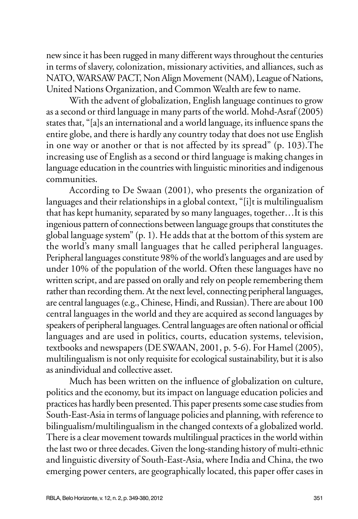new since it has been rugged in many different ways throughout the centuries in terms of slavery, colonization, missionary activities, and alliances, such as NATO, WARSAW PACT, Non Align Movement (NAM), League of Nations, United Nations Organization, and Common Wealth are few to name.

With the advent of globalization, English language continues to grow as a second or third language in many parts of the world. Mohd-Asraf (2005) states that, "[a]s an international and a world language, its influence spans the entire globe, and there is hardly any country today that does not use English in one way or another or that is not affected by its spread" (p. 103).The increasing use of English as a second or third language is making changes in language education in the countries with linguistic minorities and indigenous communities.

According to De Swaan (2001), who presents the organization of languages and their relationships in a global context, "[i]t is multilingualism that has kept humanity, separated by so many languages, together…It is this ingenious pattern of connections between language groups that constitutes the global language system" (p. 1). He adds that at the bottom of this system are the world's many small languages that he called peripheral languages. Peripheral languages constitute 98% of the world's languages and are used by under 10% of the population of the world. Often these languages have no written script, and are passed on orally and rely on people remembering them rather than recording them. At the next level, connecting peripheral languages, are central languages (e.g., Chinese, Hindi, and Russian). There are about 100 central languages in the world and they are acquired as second languages by speakers of peripheral languages. Central languages are often national or official languages and are used in politics, courts, education systems, television, textbooks and newspapers (DE SWAAN, 2001, p. 5-6). For Hamel (2005), multilingualism is not only requisite for ecological sustainability, but it is also as anindividual and collective asset.

Much has been written on the influence of globalization on culture, politics and the economy, but its impact on language education policies and practices has hardly been presented. This paper presents some case studies from South-East-Asia in terms of language policies and planning, with reference to bilingualism/multilingualism in the changed contexts of a globalized world. There is a clear movement towards multilingual practices in the world within the last two or three decades. Given the long-standing history of multi-ethnic and linguistic diversity of South-East-Asia, where India and China, the two emerging power centers, are geographically located, this paper offer cases in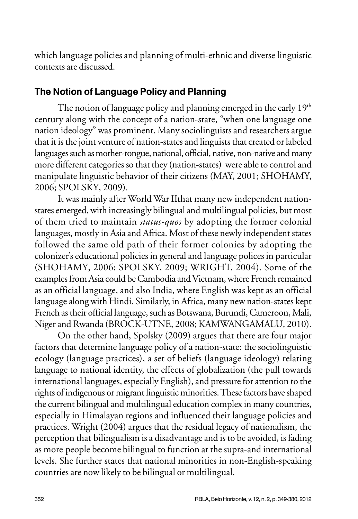which language policies and planning of multi-ethnic and diverse linguistic contexts are discussed.

#### **The Notion of Language Policy and Planning**

The notion of language policy and planning emerged in the early  $19<sup>th</sup>$ century along with the concept of a nation-state, "when one language one nation ideology" was prominent. Many sociolinguists and researchers argue that it is the joint venture of nation-states and linguists that created or labeled languages such as mother-tongue, national, official, native, non-native and many more different categories so that they (nation-states) were able to control and manipulate linguistic behavior of their citizens (MAY, 2001; SHOHAMY, 2006; SPOLSKY, 2009).

It was mainly after World War IIthat many new independent nationstates emerged, with increasingly bilingual and multilingual policies, but most of them tried to maintain *status-quos* by adopting the former colonial languages, mostly in Asia and Africa. Most of these newly independent states followed the same old path of their former colonies by adopting the colonizer's educational policies in general and language polices in particular (SHOHAMY, 2006; SPOLSKY, 2009; WRIGHT, 2004). Some of the examples from Asia could be Cambodia and Vietnam, where French remained as an official language, and also India, where English was kept as an official language along with Hindi. Similarly, in Africa, many new nation-states kept French as their official language, such as Botswana, Burundi, Cameroon, Mali, Niger and Rwanda (BROCK-UTNE, 2008; KAMWANGAMALU, 2010).

On the other hand, Spolsky (2009) argues that there are four major factors that determine language policy of a nation-state: the sociolinguistic ecology (language practices), a set of beliefs (language ideology) relating language to national identity, the effects of globalization (the pull towards international languages, especially English), and pressure for attention to the rights of indigenous or migrant linguistic minorities. These factors have shaped the current bilingual and multilingual education complex in many countries, especially in Himalayan regions and influenced their language policies and practices. Wright (2004) argues that the residual legacy of nationalism, the perception that bilingualism is a disadvantage and is to be avoided, is fading as more people become bilingual to function at the supra-and international levels. She further states that national minorities in non-English-speaking countries are now likely to be bilingual or multilingual.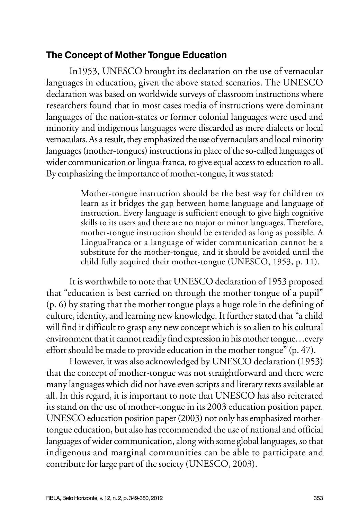## **The Concept of Mother Tongue Education**

In1953, UNESCO brought its declaration on the use of vernacular languages in education, given the above stated scenarios. The UNESCO declaration was based on worldwide surveys of classroom instructions where researchers found that in most cases media of instructions were dominant languages of the nation-states or former colonial languages were used and minority and indigenous languages were discarded as mere dialects or local vernaculars. As a result, they emphasized the use of vernaculars and local minority languages (mother-tongues) instructions in place of the so-called languages of wider communication or lingua-franca, to give equal access to education to all. By emphasizing the importance of mother-tongue, it was stated:

> Mother-tongue instruction should be the best way for children to learn as it bridges the gap between home language and language of instruction. Every language is sufficient enough to give high cognitive skills to its users and there are no major or minor languages. Therefore, mother-tongue instruction should be extended as long as possible. A LinguaFranca or a language of wider communication cannot be a substitute for the mother-tongue, and it should be avoided until the child fully acquired their mother-tongue (UNESCO, 1953, p. 11).

It is worthwhile to note that UNESCO declaration of 1953 proposed that "education is best carried on through the mother tongue of a pupil" (p. 6) by stating that the mother tongue plays a huge role in the defining of culture, identity, and learning new knowledge. It further stated that "a child will find it difficult to grasp any new concept which is so alien to his cultural environment that it cannot readily find expression in his mother tongue…every effort should be made to provide education in the mother tongue" (p. 47).

However, it was also acknowledged by UNESCO declaration (1953) that the concept of mother-tongue was not straightforward and there were many languages which did not have even scripts and literary texts available at all. In this regard, it is important to note that UNESCO has also reiterated its stand on the use of mother-tongue in its 2003 education position paper. UNESCO education position paper (2003) not only has emphasized mothertongue education, but also has recommended the use of national and official languages of wider communication, along with some global languages, so that indigenous and marginal communities can be able to participate and contribute for large part of the society (UNESCO, 2003).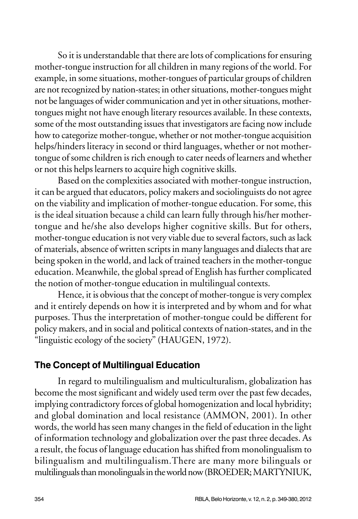So it is understandable that there are lots of complications for ensuring mother-tongue instruction for all children in many regions of the world. For example, in some situations, mother-tongues of particular groups of children are not recognized by nation-states; in other situations, mother-tongues might not be languages of wider communication and yet in other situations, mothertongues might not have enough literary resources available. In these contexts, some of the most outstanding issues that investigators are facing now include how to categorize mother-tongue, whether or not mother-tongue acquisition helps/hinders literacy in second or third languages, whether or not mothertongue of some children is rich enough to cater needs of learners and whether or not this helps learners to acquire high cognitive skills.

Based on the complexities associated with mother-tongue instruction, it can be argued that educators, policy makers and sociolinguists do not agree on the viability and implication of mother-tongue education. For some, this is the ideal situation because a child can learn fully through his/her mothertongue and he/she also develops higher cognitive skills. But for others, mother-tongue education is not very viable due to several factors, such as lack of materials, absence of written scripts in many languages and dialects that are being spoken in the world, and lack of trained teachers in the mother-tongue education. Meanwhile, the global spread of English has further complicated the notion of mother-tongue education in multilingual contexts.

Hence, it is obvious that the concept of mother-tongue is very complex and it entirely depends on how it is interpreted and by whom and for what purposes. Thus the interpretation of mother-tongue could be different for policy makers, and in social and political contexts of nation-states, and in the "linguistic ecology of the society" (HAUGEN, 1972).

## **The Concept of Multilingual Education**

In regard to multilingualism and multiculturalism, globalization has become the most significant and widely used term over the past few decades, implying contradictory forces of global homogenization and local hybridity; and global domination and local resistance (AMMON, 2001). In other words, the world has seen many changes in the field of education in the light of information technology and globalization over the past three decades. As a result, the focus of language education has shifted from monolingualism to bilingualism and multilingualism.There are many more bilinguals or multilinguals than monolinguals in the world now (BROEDER; MARTYNIUK,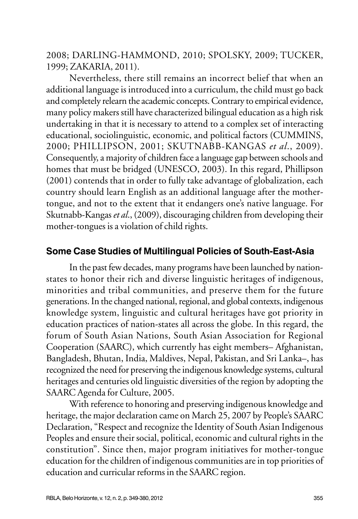2008; DARLING-HAMMOND, 2010; SPOLSKY, 2009; TUCKER, 1999; ZAKARIA, 2011).

Nevertheless, there still remains an incorrect belief that when an additional language is introduced into a curriculum, the child must go back and completely relearn the academic concepts. Contrary to empirical evidence, many policy makers still have characterized bilingual education as a high risk undertaking in that it is necessary to attend to a complex set of interacting educational, sociolinguistic, economic, and political factors (CUMMINS, 2000; PHILLIPSON, 2001; SKUTNABB-KANGAS *et al*., 2009). Consequently, a majority of children face a language gap between schools and homes that must be bridged (UNESCO, 2003). In this regard, Phillipson (2001) contends that in order to fully take advantage of globalization, each country should learn English as an additional language after the mothertongue, and not to the extent that it endangers one's native language. For Skutnabb-Kangas *et al*., (2009), discouraging children from developing their mother-tongues is a violation of child rights.

## **Some Case Studies of Multilingual Policies of South-East-Asia**

In the past few decades, many programs have been launched by nationstates to honor their rich and diverse linguistic heritages of indigenous, minorities and tribal communities, and preserve them for the future generations. In the changed national, regional, and global contexts, indigenous knowledge system, linguistic and cultural heritages have got priority in education practices of nation-states all across the globe. In this regard, the forum of South Asian Nations, South Asian Association for Regional Cooperation (SAARC), which currently has eight members– Afghanistan, Bangladesh, Bhutan, India, Maldives, Nepal, Pakistan, and Sri Lanka–, has recognized the need for preserving the indigenous knowledge systems, cultural heritages and centuries old linguistic diversities of the region by adopting the SAARC Agenda for Culture, 2005.

With reference to honoring and preserving indigenous knowledge and heritage, the major declaration came on March 25, 2007 by People's SAARC Declaration, "Respect and recognize the Identity of South Asian Indigenous Peoples and ensure their social, political, economic and cultural rights in the constitution". Since then, major program initiatives for mother-tongue education for the children of indigenous communities are in top priorities of education and curricular reforms in the SAARC region.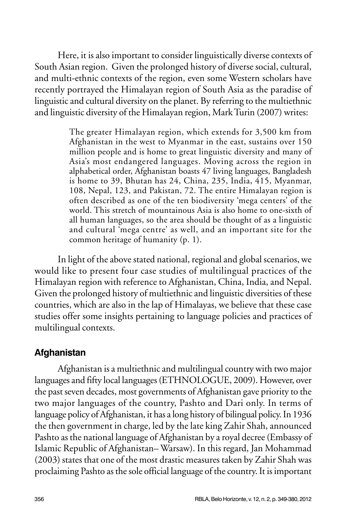Here, it is also important to consider linguistically diverse contexts of South Asian region. Given the prolonged history of diverse social, cultural, and multi-ethnic contexts of the region, even some Western scholars have recently portrayed the Himalayan region of South Asia as the paradise of linguistic and cultural diversity on the planet. By referring to the multiethnic and linguistic diversity of the Himalayan region, Mark Turin (2007) writes:

> The greater Himalayan region, which extends for 3,500 km from Afghanistan in the west to Myanmar in the east, sustains over 150 million people and is home to great linguistic diversity and many of Asia's most endangered languages. Moving across the region in alphabetical order, Afghanistan boasts 47 living languages, Bangladesh is home to 39, Bhutan has 24, China, 235, India, 415, Myanmar, 108, Nepal, 123, and Pakistan, 72. The entire Himalayan region is often described as one of the ten biodiversity 'mega centers' of the world. This stretch of mountainous Asia is also home to one-sixth of all human languages, so the area should be thought of as a linguistic and cultural 'mega centre' as well, and an important site for the common heritage of humanity (p. 1).

In light of the above stated national, regional and global scenarios, we would like to present four case studies of multilingual practices of the Himalayan region with reference to Afghanistan, China, India, and Nepal. Given the prolonged history of multiethnic and linguistic diversities of these countries, which are also in the lap of Himalayas, we believe that these case studies offer some insights pertaining to language policies and practices of multilingual contexts.

## **Afghanistan**

Afghanistan is a multiethnic and multilingual country with two major languages and fifty local languages (ETHNOLOGUE, 2009). However, over the past seven decades, most governments of Afghanistan gave priority to the two major languages of the country, Pashto and Dari only. In terms of language policy of Afghanistan, it has a long history of bilingual policy. In 1936 the then government in charge, led by the late king Zahir Shah, announced Pashto as the national language of Afghanistan by a royal decree (Embassy of Islamic Republic of Afghanistan– Warsaw). In this regard, Jan Mohammad (2003) states that one of the most drastic measures taken by Zahir Shah was proclaiming Pashto as the sole official language of the country. It is important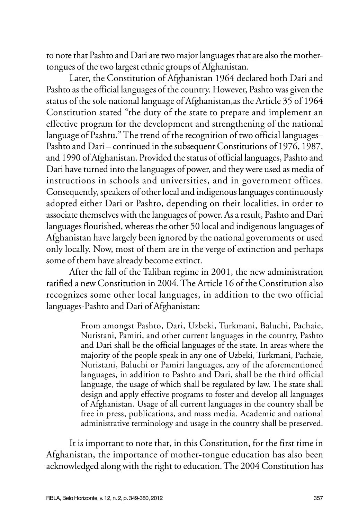to note that Pashto and Dari are two major languages that are also the mothertongues of the two largest ethnic groups of Afghanistan.

Later, the Constitution of Afghanistan 1964 declared both Dari and Pashto as the official languages of the country. However, Pashto was given the status of the sole national language of Afghanistan,as the Article 35 of 1964 Constitution stated "the duty of the state to prepare and implement an effective program for the development and strengthening of the national language of Pashtu." The trend of the recognition of two official languages– Pashto and Dari – continued in the subsequent Constitutions of 1976, 1987, and 1990 of Afghanistan. Provided the status of official languages, Pashto and Dari have turned into the languages of power, and they were used as media of instructions in schools and universities, and in government offices. Consequently, speakers of other local and indigenous languages continuously adopted either Dari or Pashto, depending on their localities, in order to associate themselves with the languages of power. As a result, Pashto and Dari languages flourished, whereas the other 50 local and indigenous languages of Afghanistan have largely been ignored by the national governments or used only locally. Now, most of them are in the verge of extinction and perhaps some of them have already become extinct.

After the fall of the Taliban regime in 2001, the new administration ratified a new Constitution in 2004. The Article 16 of the Constitution also recognizes some other local languages, in addition to the two official languages-Pashto and Dari of Afghanistan:

> From amongst Pashto, Dari, Uzbeki, Turkmani, Baluchi, Pachaie, Nuristani, Pamiri, and other current languages in the country, Pashto and Dari shall be the official languages of the state. In areas where the majority of the people speak in any one of Uzbeki, Turkmani, Pachaie, Nuristani, Baluchi or Pamiri languages, any of the aforementioned languages, in addition to Pashto and Dari, shall be the third official language, the usage of which shall be regulated by law. The state shall design and apply effective programs to foster and develop all languages of Afghanistan. Usage of all current languages in the country shall be free in press, publications, and mass media. Academic and national administrative terminology and usage in the country shall be preserved.

It is important to note that, in this Constitution, for the first time in Afghanistan, the importance of mother-tongue education has also been acknowledged along with the right to education. The 2004 Constitution has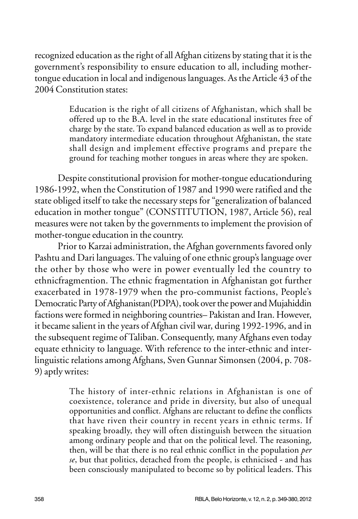recognized education as the right of all Afghan citizens by stating that it is the government's responsibility to ensure education to all, including mothertongue education in local and indigenous languages. As the Article 43 of the 2004 Constitution states:

> Education is the right of all citizens of Afghanistan, which shall be offered up to the B.A. level in the state educational institutes free of charge by the state. To expand balanced education as well as to provide mandatory intermediate education throughout Afghanistan, the state shall design and implement effective programs and prepare the ground for teaching mother tongues in areas where they are spoken.

Despite constitutional provision for mother-tongue educationduring 1986-1992, when the Constitution of 1987 and 1990 were ratified and the state obliged itself to take the necessary steps for "generalization of balanced education in mother tongue" (CONSTITUTION, 1987, Article 56), real measures were not taken by the governments to implement the provision of mother-tongue education in the country.

Prior to Karzai administration, the Afghan governments favored only Pashtu and Dari languages. The valuing of one ethnic group's language over the other by those who were in power eventually led the country to ethnicfragmention. The ethnic fragmentation in Afghanistan got further exacerbated in 1978-1979 when the pro-communist factions, People's Democratic Party of Afghanistan(PDPA), took over the power and Mujahiddin factions were formed in neighboring countries– Pakistan and Iran. However, it became salient in the years of Afghan civil war, during 1992-1996, and in the subsequent regime of Taliban. Consequently, many Afghans even today equate ethnicity to language. With reference to the inter-ethnic and interlinguistic relations among Afghans, Sven Gunnar Simonsen (2004, p. 708- 9) aptly writes:

> The history of inter-ethnic relations in Afghanistan is one of coexistence, tolerance and pride in diversity, but also of unequal opportunities and conflict. Afghans are reluctant to define the conflicts that have riven their country in recent years in ethnic terms. If speaking broadly, they will often distinguish between the situation among ordinary people and that on the political level. The reasoning, then, will be that there is no real ethnic conflict in the population *per se*, but that politics, detached from the people, is ethnicised - and has been consciously manipulated to become so by political leaders. This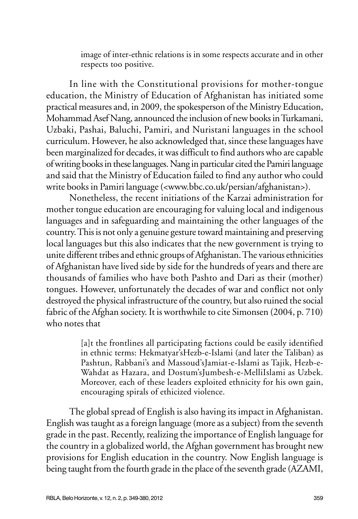image of inter-ethnic relations is in some respects accurate and in other respects too positive.

In line with the Constitutional provisions for mother-tongue education, the Ministry of Education of Afghanistan has initiated some practical measures and, in 2009, the spokesperson of the Ministry Education, Mohammad Asef Nang, announced the inclusion of new books in Turkamani, Uzbaki, Pashai, Baluchi, Pamiri, and Nuristani languages in the school curriculum. However, he also acknowledged that, since these languages have been marginalized for decades, it was difficult to find authors who are capable of writing books in these languages. Nang in particular cited the Pamiri language and said that the Ministry of Education failed to find any author who could write books in Pamiri language (<www.bbc.co.uk/persian/afghanistan>).

Nonetheless, the recent initiations of the Karzai administration for mother tongue education are encouraging for valuing local and indigenous languages and in safeguarding and maintaining the other languages of the country. This is not only a genuine gesture toward maintaining and preserving local languages but this also indicates that the new government is trying to unite different tribes and ethnic groups of Afghanistan. The various ethnicities of Afghanistan have lived side by side for the hundreds of years and there are thousands of families who have both Pashto and Dari as their (mother) tongues. However, unfortunately the decades of war and conflict not only destroyed the physical infrastructure of the country, but also ruined the social fabric of the Afghan society. It is worthwhile to cite Simonsen (2004, p. 710) who notes that

> [a]t the frontlines all participating factions could be easily identified in ethnic terms: Hekmatyar'sHezb-e-Islami (and later the Taliban) as Pashtun, Rabbani's and Massoud'sJamiat-e-Islami as Tajik, Hezb-e-Wahdat as Hazara, and Dostum'sJumbesh-e-MelliIslami as Uzbek. Moreover, each of these leaders exploited ethnicity for his own gain, encouraging spirals of ethicized violence.

The global spread of English is also having its impact in Afghanistan. English was taught as a foreign language (more as a subject) from the seventh grade in the past. Recently, realizing the importance of English language for the country in a globalized world, the Afghan government has brought new provisions for English education in the country. Now English language is being taught from the fourth grade in the place of the seventh grade (AZAMI,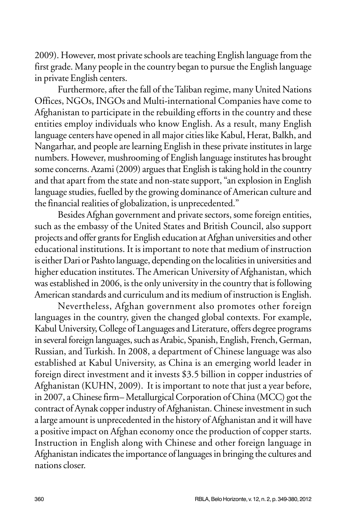2009). However, most private schools are teaching English language from the first grade. Many people in the country began to pursue the English language in private English centers.

Furthermore, after the fall of the Taliban regime, many United Nations Offices, NGOs, INGOs and Multi-international Companies have come to Afghanistan to participate in the rebuilding efforts in the country and these entities employ individuals who know English. As a result, many English language centers have opened in all major cities like Kabul, Herat, Balkh, and Nangarhar, and people are learning English in these private institutes in large numbers. However, mushrooming of English language institutes has brought some concerns. Azami (2009) argues that English is taking hold in the country and that apart from the state and non-state support, "an explosion in English language studies, fuelled by the growing dominance of American culture and the financial realities of globalization, is unprecedented."

Besides Afghan government and private sectors, some foreign entities, such as the embassy of the United States and British Council, also support projects and offer grants for English education at Afghan universities and other educational institutions. It is important to note that medium of instruction is either Dari or Pashto language, depending on the localities in universities and higher education institutes. The American University of Afghanistan, which was established in 2006, is the only university in the country that is following American standards and curriculum and its medium of instruction is English.

Nevertheless, Afghan government also promotes other foreign languages in the country, given the changed global contexts. For example, Kabul University, College of Languages and Literature, offers degree programs in several foreign languages, such as Arabic, Spanish, English, French, German, Russian, and Turkish. In 2008, a department of Chinese language was also established at Kabul University, as China is an emerging world leader in foreign direct investment and it invests \$3.5 billion in copper industries of Afghanistan (KUHN, 2009). It is important to note that just a year before, in 2007, a Chinese firm– Metallurgical Corporation of China (MCC) got the contract of Aynak copper industry of Afghanistan. Chinese investment in such a large amount is unprecedented in the history of Afghanistan and it will have a positive impact on Afghan economy once the production of copper starts. Instruction in English along with Chinese and other foreign language in Afghanistan indicates the importance of languages in bringing the cultures and nations closer.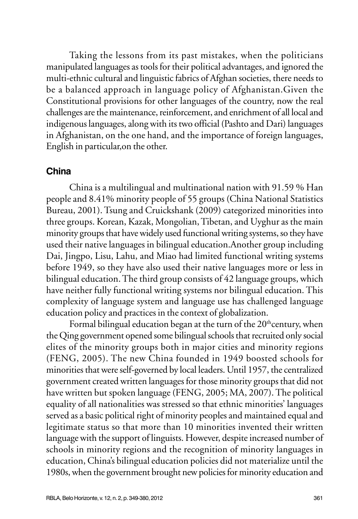Taking the lessons from its past mistakes, when the politicians manipulated languages as tools for their political advantages, and ignored the multi-ethnic cultural and linguistic fabrics of Afghan societies, there needs to be a balanced approach in language policy of Afghanistan.Given the Constitutional provisions for other languages of the country, now the real challenges are the maintenance, reinforcement, and enrichment of all local and indigenous languages, along with its two official (Pashto and Dari) languages in Afghanistan, on the one hand, and the importance of foreign languages, English in particular,on the other.

#### **China**

China is a multilingual and multinational nation with 91.59 % Han people and 8.41% minority people of 55 groups (China National Statistics Bureau, 2001). Tsung and Cruickshank (2009) categorized minorities into three groups. Korean, Kazak, Mongolian, Tibetan, and Uyghur as the main minority groups that have widely used functional writing systems, so they have used their native languages in bilingual education.Another group including Dai, Jingpo, Lisu, Lahu, and Miao had limited functional writing systems before 1949, so they have also used their native languages more or less in bilingual education. The third group consists of 42 language groups, which have neither fully functional writing systems nor bilingual education. This complexity of language system and language use has challenged language education policy and practices in the context of globalization.

Formal bilingual education began at the turn of the  $20<sup>th</sup>$ century, when the Qing government opened some bilingual schools that recruited only social elites of the minority groups both in major cities and minority regions (FENG, 2005). The new China founded in 1949 boosted schools for minorities that were self-governed by local leaders. Until 1957, the centralized government created written languages for those minority groups that did not have written but spoken language (FENG, 2005; MA, 2007). The political equality of all nationalities was stressed so that ethnic minorities' languages served as a basic political right of minority peoples and maintained equal and legitimate status so that more than 10 minorities invented their written language with the support of linguists. However, despite increased number of schools in minority regions and the recognition of minority languages in education, China's bilingual education policies did not materialize until the 1980s, when the government brought new policies for minority education and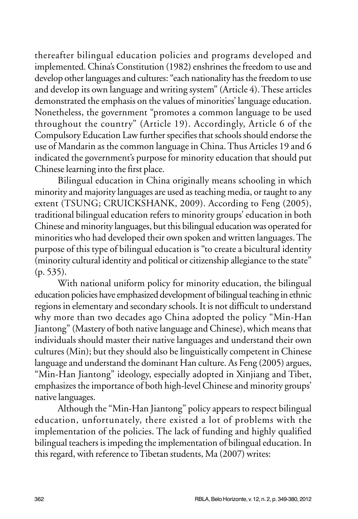thereafter bilingual education policies and programs developed and implemented. China's Constitution (1982) enshrines the freedom to use and develop other languages and cultures: "each nationality has the freedom to use and develop its own language and writing system" (Article 4). These articles demonstrated the emphasis on the values of minorities' language education. Nonetheless, the government "promotes a common language to be used throughout the country" (Article 19). Accordingly, Article 6 of the Compulsory Education Law further specifies that schools should endorse the use of Mandarin as the common language in China. Thus Articles 19 and 6 indicated the government's purpose for minority education that should put Chinese learning into the first place.

Bilingual education in China originally means schooling in which minority and majority languages are used as teaching media, or taught to any extent (TSUNG; CRUICKSHANK, 2009). According to Feng (2005), traditional bilingual education refers to minority groups' education in both Chinese and minority languages, but this bilingual education was operated for minorities who had developed their own spoken and written languages. The purpose of this type of bilingual education is "to create a bicultural identity (minority cultural identity and political or citizenship allegiance to the state" (p. 535).

With national uniform policy for minority education, the bilingual education policies have emphasized development of bilingual teaching in ethnic regions in elementary and secondary schools. It is not difficult to understand why more than two decades ago China adopted the policy "Min-Han Jiantong" (Mastery of both native language and Chinese), which means that individuals should master their native languages and understand their own cultures (Min); but they should also be linguistically competent in Chinese language and understand the dominant Han culture. As Feng (2005) argues, "Min-Han Jiantong" ideology, especially adopted in Xinjiang and Tibet, emphasizes the importance of both high-level Chinese and minority groups' native languages.

Although the "Min-Han Jiantong" policy appears to respect bilingual education, unfortunately, there existed a lot of problems with the implementation of the policies. The lack of funding and highly qualified bilingual teachers is impeding the implementation of bilingual education. In this regard, with reference to Tibetan students, Ma (2007) writes: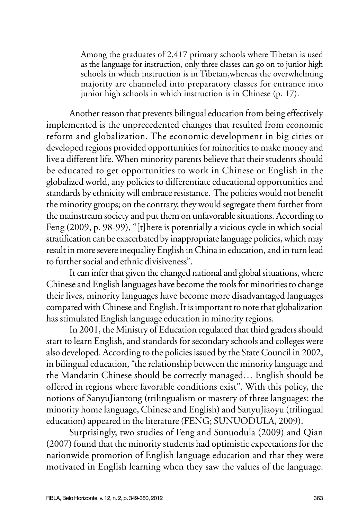Among the graduates of 2,417 primary schools where Tibetan is used as the language for instruction, only three classes can go on to junior high schools in which instruction is in Tibetan,whereas the overwhelming majority are channeled into preparatory classes for entrance into junior high schools in which instruction is in Chinese (p. 17).

Another reason that prevents bilingual education from being effectively implemented is the unprecedented changes that resulted from economic reform and globalization. The economic development in big cities or developed regions provided opportunities for minorities to make money and live a different life. When minority parents believe that their students should be educated to get opportunities to work in Chinese or English in the globalized world, any policies to differentiate educational opportunities and standards by ethnicity will embrace resistance. The policies would not benefit the minority groups; on the contrary, they would segregate them further from the mainstream society and put them on unfavorable situations. According to Feng (2009, p. 98-99), "[t]here is potentially a vicious cycle in which social stratification can be exacerbated by inappropriate language policies, which may result in more severe inequality English in China in education, and in turn lead to further social and ethnic divisiveness".

It can infer that given the changed national and global situations, where Chinese and English languages have become the tools for minorities to change their lives, minority languages have become more disadvantaged languages compared with Chinese and English. It is important to note that globalization has stimulated English language education in minority regions.

In 2001, the Ministry of Education regulated that third graders should start to learn English, and standards for secondary schools and colleges were also developed. According to the policies issued by the State Council in 2002, in bilingual education, "the relationship between the minority language and the Mandarin Chinese should be correctly managed… English should be offered in regions where favorable conditions exist". With this policy, the notions of SanyuJiantong (trilingualism or mastery of three languages: the minority home language, Chinese and English) and SanyuJiaoyu (trilingual education) appeared in the literature (FENG; SUNUODULA, 2009).

Surprisingly, two studies of Feng and Sunuodula (2009) and Qian (2007) found that the minority students had optimistic expectations for the nationwide promotion of English language education and that they were motivated in English learning when they saw the values of the language.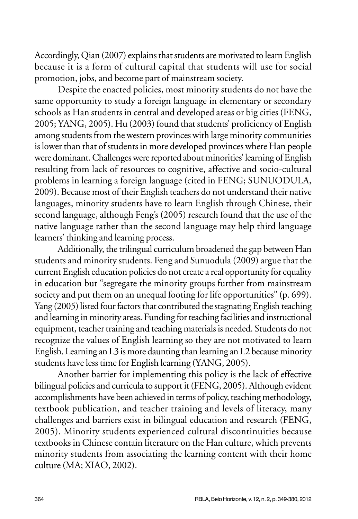Accordingly, Qian (2007) explains that students are motivated to learn English because it is a form of cultural capital that students will use for social promotion, jobs, and become part of mainstream society.

Despite the enacted policies, most minority students do not have the same opportunity to study a foreign language in elementary or secondary schools as Han students in central and developed areas or big cities (FENG, 2005; YANG, 2005). Hu (2003) found that students' proficiency of English among students from the western provinces with large minority communities is lower than that of students in more developed provinces where Han people were dominant. Challenges were reported about minorities' learning of English resulting from lack of resources to cognitive, affective and socio-cultural problems in learning a foreign language (cited in FENG; SUNUODULA, 2009). Because most of their English teachers do not understand their native languages, minority students have to learn English through Chinese, their second language, although Feng's (2005) research found that the use of the native language rather than the second language may help third language learners' thinking and learning process.

Additionally, the trilingual curriculum broadened the gap between Han students and minority students. Feng and Sunuodula (2009) argue that the current English education policies do not create a real opportunity for equality in education but "segregate the minority groups further from mainstream society and put them on an unequal footing for life opportunities" (p. 699). Yang (2005) listed four factors that contributed the stagnating English teaching and learning in minority areas. Funding for teaching facilities and instructional equipment, teacher training and teaching materials is needed. Students do not recognize the values of English learning so they are not motivated to learn English. Learning an L3 is more daunting than learning an L2 because minority students have less time for English learning (YANG, 2005).

Another barrier for implementing this policy is the lack of effective bilingual policies and curricula to support it (FENG, 2005). Although evident accomplishments have been achieved in terms of policy, teaching methodology, textbook publication, and teacher training and levels of literacy, many challenges and barriers exist in bilingual education and research (FENG, 2005). Minority students experienced cultural discontinuities because textbooks in Chinese contain literature on the Han culture, which prevents minority students from associating the learning content with their home culture (MA; XIAO, 2002).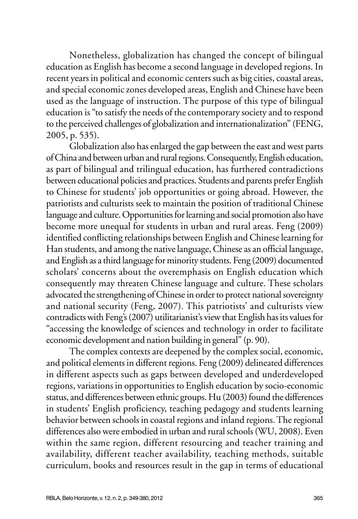Nonetheless, globalization has changed the concept of bilingual education as English has become a second language in developed regions. In recent years in political and economic centers such as big cities, coastal areas, and special economic zones developed areas, English and Chinese have been used as the language of instruction. The purpose of this type of bilingual education is "to satisfy the needs of the contemporary society and to respond to the perceived challenges of globalization and internationalization" (FENG, 2005, p. 535).

Globalization also has enlarged the gap between the east and west parts of China and between urban and rural regions. Consequently, English education, as part of bilingual and trilingual education, has furthered contradictions between educational policies and practices. Students and parents prefer English to Chinese for students' job opportunities or going abroad. However, the patriotists and culturists seek to maintain the position of traditional Chinese language and culture. Opportunities for learning and social promotion also have become more unequal for students in urban and rural areas. Feng (2009) identified conflicting relationships between English and Chinese learning for Han students, and among the native language, Chinese as an official language, and English as a third language for minority students. Feng (2009) documented scholars' concerns about the overemphasis on English education which consequently may threaten Chinese language and culture. These scholars advocated the strengthening of Chinese in order to protect national sovereignty and national security (Feng, 2007). This patriotists' and culturists view contradicts with Feng's (2007) utilitarianist's view that English has its values for "accessing the knowledge of sciences and technology in order to facilitate economic development and nation building in general" (p. 90).

The complex contexts are deepened by the complex social, economic, and political elements in different regions. Feng (2009) delineated differences in different aspects such as gaps between developed and underdeveloped regions, variations in opportunities to English education by socio-economic status, and differences between ethnic groups. Hu (2003) found the differences in students' English proficiency, teaching pedagogy and students learning behavior between schools in coastal regions and inland regions. The regional differences also were embodied in urban and rural schools (WU, 2008). Even within the same region, different resourcing and teacher training and availability, different teacher availability, teaching methods, suitable curriculum, books and resources result in the gap in terms of educational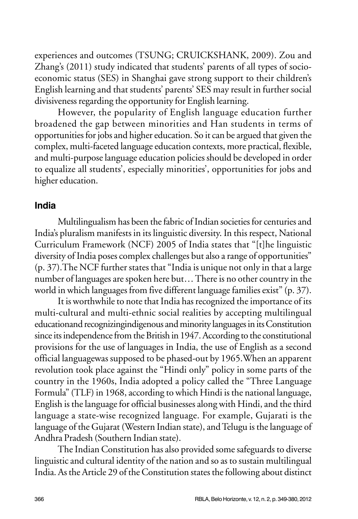experiences and outcomes (TSUNG; CRUICKSHANK, 2009). Zou and Zhang's (2011) study indicated that students' parents of all types of socioeconomic status (SES) in Shanghai gave strong support to their children's English learning and that students' parents' SES may result in further social divisiveness regarding the opportunity for English learning.

However, the popularity of English language education further broadened the gap between minorities and Han students in terms of opportunities for jobs and higher education. So it can be argued that given the complex, multi-faceted language education contexts, more practical, flexible, and multi-purpose language education policies should be developed in order to equalize all students', especially minorities', opportunities for jobs and higher education.

#### **India**

Multilingualism has been the fabric of Indian societies for centuries and India's pluralism manifests in its linguistic diversity. In this respect, National Curriculum Framework (NCF) 2005 of India states that "[t]he linguistic diversity of India poses complex challenges but also a range of opportunities" (p. 37).The NCF further states that "India is unique not only in that a large number of languages are spoken here but… There is no other country in the world in which languages from five different language families exist" (p. 37).

It is worthwhile to note that India has recognized the importance of its multi-cultural and multi-ethnic social realities by accepting multilingual educationand recognizingindigenous and minority languages in its Constitution since its independence from the British in 1947. According to the constitutional provisions for the use of languages in India, the use of English as a second official languagewas supposed to be phased-out by 1965.When an apparent revolution took place against the "Hindi only" policy in some parts of the country in the 1960s, India adopted a policy called the "Three Language Formula" (TLF) in 1968, according to which Hindi is the national language, English is the language for official businesses along with Hindi, and the third language a state-wise recognized language. For example, Gujarati is the language of the Gujarat (Western Indian state), and Telugu is the language of Andhra Pradesh (Southern Indian state).

The Indian Constitution has also provided some safeguards to diverse linguistic and cultural identity of the nation and so as to sustain multilingual India. As the Article 29 of the Constitution states the following about distinct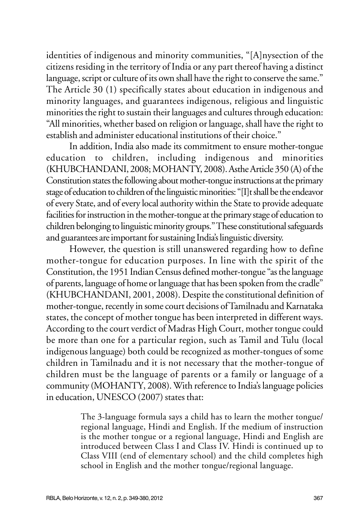identities of indigenous and minority communities, "[A]nysection of the citizens residing in the territory of India or any part thereof having a distinct language, script or culture of its own shall have the right to conserve the same." The Article 30 (1) specifically states about education in indigenous and minority languages, and guarantees indigenous, religious and linguistic minorities the right to sustain their languages and cultures through education: "All minorities, whether based on religion or language, shall have the right to establish and administer educational institutions of their choice."

In addition, India also made its commitment to ensure mother-tongue education to children, including indigenous and minorities (KHUBCHANDANI, 2008; MOHANTY, 2008). Asthe Article 350 (A) of the Constitution states the following about mother-tongue instructions at the primary stage of education to children of the linguistic minorities: "[I]t shall be the endeavor of every State, and of every local authority within the State to provide adequate facilities for instruction in the mother-tongue at the primary stage of education to children belonging to linguistic minority groups." These constitutional safeguards and guarantees are important for sustaining India's linguistic diversity.

However, the question is still unanswered regarding how to define mother-tongue for education purposes. In line with the spirit of the Constitution, the 1951 Indian Census defined mother-tongue "as the language of parents, language of home or language that has been spoken from the cradle" (KHUBCHANDANI, 2001, 2008). Despite the constitutional definition of mother-tongue, recently in some court decisions of Tamilnadu and Karnataka states, the concept of mother tongue has been interpreted in different ways. According to the court verdict of Madras High Court, mother tongue could be more than one for a particular region, such as Tamil and Tulu (local indigenous language) both could be recognized as mother-tongues of some children in Tamilnadu and it is not necessary that the mother-tongue of children must be the language of parents or a family or language of a community (MOHANTY, 2008). With reference to India's language policies in education, UNESCO (2007) states that:

> The 3-language formula says a child has to learn the mother tongue/ regional language, Hindi and English. If the medium of instruction is the mother tongue or a regional language, Hindi and English are introduced between Class I and Class IV. Hindi is continued up to Class VIII (end of elementary school) and the child completes high school in English and the mother tongue/regional language.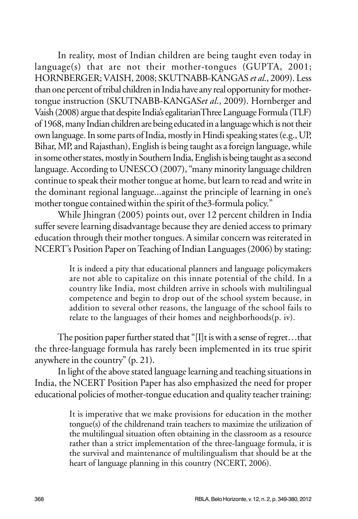In reality, most of Indian children are being taught even today in language(s) that are not their mother-tongues (GUPTA, 2001; HORNBERGER; VAISH, 2008; SKUTNABB-KANGAS *et al*., 2009). Less than one percent of tribal children in India have any real opportunity for mothertongue instruction (SKUTNABB-KANGAS*et al*., 2009). Hornberger and Vaish (2008) argue that despite India's egalitarianThree Language Formula (TLF) of 1968, many Indian children are being educated in a language which is not their own language. In some parts of India, mostly in Hindi speaking states (e.g., UP, Bihar, MP, and Rajasthan), English is being taught as a foreign language, while in some other states, mostly in Southern India, English is being taught as a second language. According to UNESCO (2007), "many minority language children continue to speak their mother tongue at home, but learn to read and write in the dominant regional language...against the principle of learning in one's mother tongue contained within the spirit of the3-formula policy."

While Jhingran (2005) points out, over 12 percent children in India suffer severe learning disadvantage because they are denied access to primary education through their mother tongues. A similar concern was reiterated in NCERT's Position Paper on Teaching of Indian Languages (2006) by stating:

> It is indeed a pity that educational planners and language policymakers are not able to capitalize on this innate potential of the child. In a country like India, most children arrive in schools with multilingual competence and begin to drop out of the school system because, in addition to several other reasons, the language of the school fails to relate to the languages of their homes and neighborhoods(p. iv).

The position paper further stated that "[I]t is with a sense of regret...that the three-language formula has rarely been implemented in its true spirit anywhere in the country" (p. 21).

In light of the above stated language learning and teaching situations in India, the NCERT Position Paper has also emphasized the need for proper educational policies of mother-tongue education and quality teacher training:

> It is imperative that we make provisions for education in the mother tongue(s) of the childrenand train teachers to maximize the utilization of the multilingual situation often obtaining in the classroom as a resource rather than a strict implementation of the three-language formula, it is the survival and maintenance of multilingualism that should be at the heart of language planning in this country (NCERT, 2006).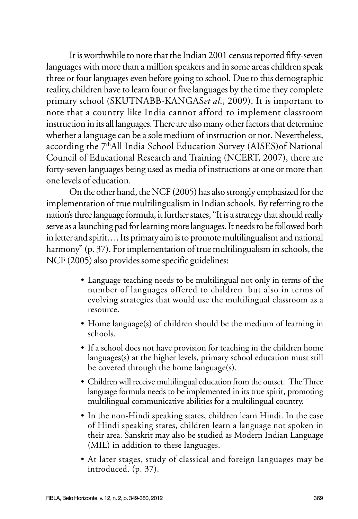It is worthwhile to note that the Indian 2001 census reported fifty-seven languages with more than a million speakers and in some areas children speak three or four languages even before going to school. Due to this demographic reality, children have to learn four or five languages by the time they complete primary school (SKUTNABB-KANGAS*et al*., 2009). It is important to note that a country like India cannot afford to implement classroom instruction in its all languages. There are also many other factors that determine whether a language can be a sole medium of instruction or not. Nevertheless, according the 7<sup>th</sup>All India School Education Survey (AISES) of National Council of Educational Research and Training (NCERT, 2007), there are forty-seven languages being used as media of instructions at one or more than one levels of education.

On the other hand, the NCF (2005) has also strongly emphasized for the implementation of true multilingualism in Indian schools. By referring to the nation's three language formula, it further states, "It is a strategy that should really serve as a launching pad for learning more languages. It needs to be followed both in letter and spirit…. Its primary aim is to promote multilingualism and national harmony" (p. 37). For implementation of true multilingualism in schools, the NCF (2005) also provides some specific guidelines:

- Language teaching needs to be multilingual not only in terms of the number of languages offered to children but also in terms of evolving strategies that would use the multilingual classroom as a resource.
- Home language(s) of children should be the medium of learning in schools.
- If a school does not have provision for teaching in the children home languages(s) at the higher levels, primary school education must still be covered through the home language(s).
- Children will receive multilingual education from the outset. The Three language formula needs to be implemented in its true spirit, promoting multilingual communicative abilities for a multilingual country.
- In the non-Hindi speaking states, children learn Hindi. In the case of Hindi speaking states, children learn a language not spoken in their area. Sanskrit may also be studied as Modern Indian Language (MIL) in addition to these languages.
- At later stages, study of classical and foreign languages may be introduced. (p. 37).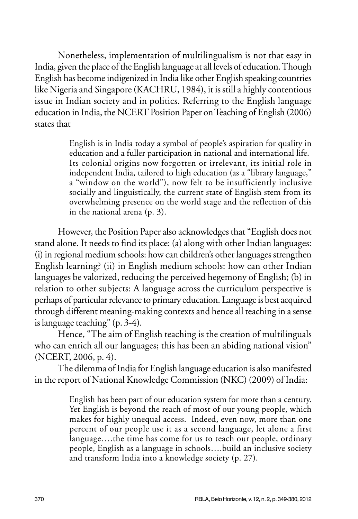Nonetheless, implementation of multilingualism is not that easy in India, given the place of the English language at all levels of education. Though English has become indigenized in India like other English speaking countries like Nigeria and Singapore (KACHRU, 1984), it is still a highly contentious issue in Indian society and in politics. Referring to the English language education in India, the NCERT Position Paper on Teaching of English (2006) states that

> English is in India today a symbol of people's aspiration for quality in education and a fuller participation in national and international life. Its colonial origins now forgotten or irrelevant, its initial role in independent India, tailored to high education (as a "library language," a "window on the world"), now felt to be insufficiently inclusive socially and linguistically, the current state of English stem from its overwhelming presence on the world stage and the reflection of this in the national arena (p. 3).

However, the Position Paper also acknowledges that "English does not stand alone. It needs to find its place: (a) along with other Indian languages: (i) in regional medium schools: how can children's other languages strengthen English learning? (ii) in English medium schools: how can other Indian languages be valorized, reducing the perceived hegemony of English; (b) in relation to other subjects: A language across the curriculum perspective is perhaps of particular relevance to primary education. Language is best acquired through different meaning-making contexts and hence all teaching in a sense is language teaching" (p. 3-4).

Hence, "The aim of English teaching is the creation of multilinguals who can enrich all our languages; this has been an abiding national vision" (NCERT, 2006, p. 4).

The dilemma of India for English language education is also manifested in the report of National Knowledge Commission (NKC) (2009) of India:

> English has been part of our education system for more than a century. Yet English is beyond the reach of most of our young people, which makes for highly unequal access. Indeed, even now, more than one percent of our people use it as a second language, let alone a first language….the time has come for us to teach our people, ordinary people, English as a language in schools….build an inclusive society and transform India into a knowledge society (p. 27).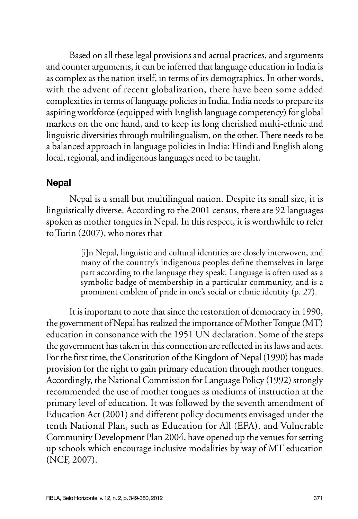Based on all these legal provisions and actual practices, and arguments and counter arguments, it can be inferred that language education in India is as complex as the nation itself, in terms of its demographics. In other words, with the advent of recent globalization, there have been some added complexities in terms of language policies in India. India needs to prepare its aspiring workforce (equipped with English language competency) for global markets on the one hand, and to keep its long cherished multi-ethnic and linguistic diversities through multilingualism, on the other. There needs to be a balanced approach in language policies in India: Hindi and English along local, regional, and indigenous languages need to be taught.

#### **Nepal**

Nepal is a small but multilingual nation. Despite its small size, it is linguistically diverse. According to the 2001 census, there are 92 languages spoken as mother tongues in Nepal. In this respect, it is worthwhile to refer to Turin (2007), who notes that

> [i]n Nepal, linguistic and cultural identities are closely interwoven, and many of the country's indigenous peoples define themselves in large part according to the language they speak. Language is often used as a symbolic badge of membership in a particular community, and is a prominent emblem of pride in one's social or ethnic identity (p. 27).

It is important to note that since the restoration of democracy in 1990, the government of Nepal has realized the importance of Mother Tongue (MT) education in consonance with the 1951 UN declaration. Some of the steps the government has taken in this connection are reflected in its laws and acts. For the first time, the Constitution of the Kingdom of Nepal (1990) has made provision for the right to gain primary education through mother tongues. Accordingly, the National Commission for Language Policy (1992) strongly recommended the use of mother tongues as mediums of instruction at the primary level of education. It was followed by the seventh amendment of Education Act (2001) and different policy documents envisaged under the tenth National Plan, such as Education for All (EFA), and Vulnerable Community Development Plan 2004, have opened up the venues for setting up schools which encourage inclusive modalities by way of MT education (NCF, 2007).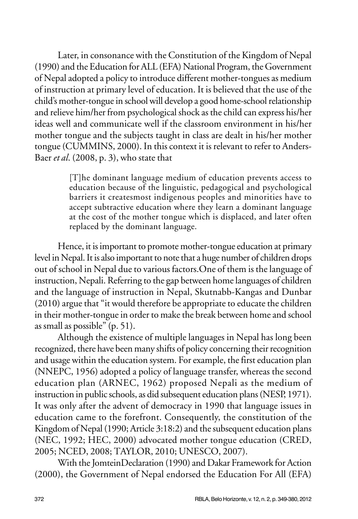Later, in consonance with the Constitution of the Kingdom of Nepal (1990) and the Education for ALL (EFA) National Program, the Government of Nepal adopted a policy to introduce different mother-tongues as medium of instruction at primary level of education. It is believed that the use of the child's mother-tongue in school will develop a good home-school relationship and relieve him/her from psychological shock as the child can express his/her ideas well and communicate well if the classroom environment in his/her mother tongue and the subjects taught in class are dealt in his/her mother tongue (CUMMINS, 2000). In this context it is relevant to refer to Anders-Baer *et al*. (2008, p. 3), who state that

> [T]he dominant language medium of education prevents access to education because of the linguistic, pedagogical and psychological barriers it createsmost indigenous peoples and minorities have to accept subtractive education where they learn a dominant language at the cost of the mother tongue which is displaced, and later often replaced by the dominant language.

Hence, it is important to promote mother-tongue education at primary level in Nepal. It is also important to note that a huge number of children drops out of school in Nepal due to various factors.One of them is the language of instruction, Nepali. Referring to the gap between home languages of children and the language of instruction in Nepal, Skutnabb-Kangas and Dunbar (2010) argue that "it would therefore be appropriate to educate the children in their mother-tongue in order to make the break between home and school as small as possible" (p. 51).

Although the existence of multiple languages in Nepal has long been recognized, there have been many shifts of policy concerning their recognition and usage within the education system. For example, the first education plan (NNEPC, 1956) adopted a policy of language transfer, whereas the second education plan (ARNEC, 1962) proposed Nepali as the medium of instruction in public schools, as did subsequent education plans (NESP, 1971). It was only after the advent of democracy in 1990 that language issues in education came to the forefront. Consequently, the constitution of the Kingdom of Nepal (1990; Article 3:18:2) and the subsequent education plans (NEC, 1992; HEC, 2000) advocated mother tongue education (CRED, 2005; NCED, 2008; TAYLOR, 2010; UNESCO, 2007).

With the JomteinDeclaration (1990) and Dakar Framework for Action (2000), the Government of Nepal endorsed the Education For All (EFA)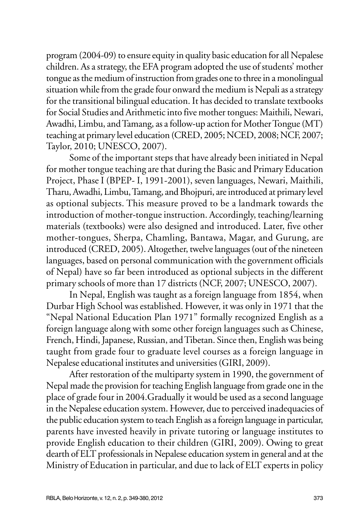program (2004-09) to ensure equity in quality basic education for all Nepalese children. As a strategy, the EFA program adopted the use of students' mother tongue as the medium of instruction from grades one to three in a monolingual situation while from the grade four onward the medium is Nepali as a strategy for the transitional bilingual education. It has decided to translate textbooks for Social Studies and Arithmetic into five mother tongues: Maithili, Newari, Awadhi, Limbu, and Tamang, as a follow-up action for Mother Tongue (MT) teaching at primary level education (CRED, 2005; NCED, 2008; NCF, 2007; Taylor, 2010; UNESCO, 2007).

Some of the important steps that have already been initiated in Nepal for mother tongue teaching are that during the Basic and Primary Education Project, Phase I (BPEP- I, 1991-2001), seven languages, Newari, Maithili, Tharu, Awadhi, Limbu, Tamang, and Bhojpuri, are introduced at primary level as optional subjects. This measure proved to be a landmark towards the introduction of mother-tongue instruction. Accordingly, teaching/learning materials (textbooks) were also designed and introduced. Later, five other mother-tongues, Sherpa, Chamling, Bantawa, Magar, and Gurung, are introduced (CRED, 2005). Altogether, twelve languages (out of the nineteen languages, based on personal communication with the government officials of Nepal) have so far been introduced as optional subjects in the different primary schools of more than 17 districts (NCF, 2007; UNESCO, 2007).

In Nepal, English was taught as a foreign language from 1854, when Durbar High School was established. However, it was only in 1971 that the "Nepal National Education Plan 1971" formally recognized English as a foreign language along with some other foreign languages such as Chinese, French, Hindi, Japanese, Russian, and Tibetan. Since then, English was being taught from grade four to graduate level courses as a foreign language in Nepalese educational institutes and universities (GIRI, 2009).

After restoration of the multiparty system in 1990, the government of Nepal made the provision for teaching English language from grade one in the place of grade four in 2004.Gradually it would be used as a second language in the Nepalese education system. However, due to perceived inadequacies of the public education system to teach English as a foreign language in particular, parents have invested heavily in private tutoring or language institutes to provide English education to their children (GIRI, 2009). Owing to great dearth of ELT professionals in Nepalese education system in general and at the Ministry of Education in particular, and due to lack of ELT experts in policy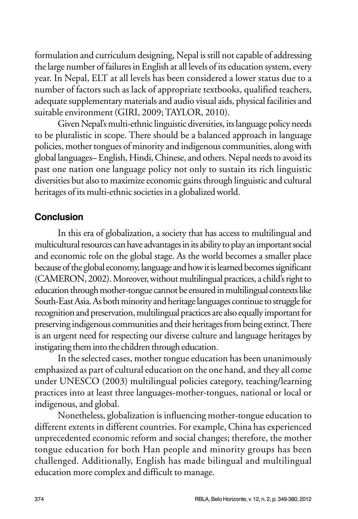formulation and curriculum designing, Nepal is still not capable of addressing the large number of failures in English at all levels of its education system, every year. In Nepal, ELT at all levels has been considered a lower status due to a number of factors such as lack of appropriate textbooks, qualified teachers, adequate supplementary materials and audio visual aids, physical facilities and suitable environment (GIRI, 2009; TAYLOR, 2010).

Given Nepal's multi-ethnic linguistic diversities, its language policy needs to be pluralistic in scope. There should be a balanced approach in language policies, mother tongues of minority and indigenous communities, along with global languages– English, Hindi, Chinese, and others. Nepal needs to avoid its past one nation one language policy not only to sustain its rich linguistic diversities but also to maximize economic gains through linguistic and cultural heritages of its multi-ethnic societies in a globalized world.

## **Conclusion**

In this era of globalization, a society that has access to multilingual and multicultural resources can have advantages in its ability to play an important social and economic role on the global stage. As the world becomes a smaller place because of the global economy, language and how it is learned becomes significant (CAMERON, 2002). Moreover, without multilingual practices, a child's right to education through mother-tongue cannot be ensured in multilingual contexts like South-East Asia. As both minority and heritage languages continue to struggle for recognition and preservation, multilingual practices are also equally important for preserving indigenous communities and their heritages from being extinct. There is an urgent need for respecting our diverse culture and language heritages by instigating them into the children through education.

In the selected cases, mother tongue education has been unanimously emphasized as part of cultural education on the one hand, and they all come under UNESCO (2003) multilingual policies category, teaching/learning practices into at least three languages-mother-tongues, national or local or indigenous, and global.

Nonetheless, globalization is influencing mother-tongue education to different extents in different countries. For example, China has experienced unprecedented economic reform and social changes; therefore, the mother tongue education for both Han people and minority groups has been challenged. Additionally, English has made bilingual and multilingual education more complex and difficult to manage.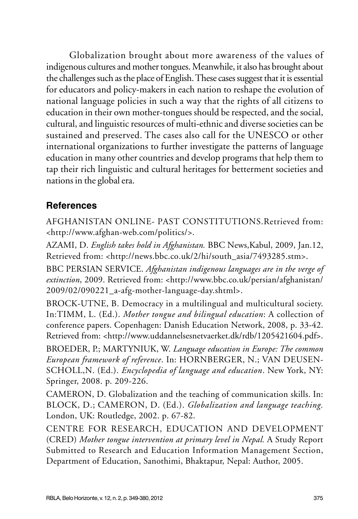Globalization brought about more awareness of the values of indigenous cultures and mother tongues. Meanwhile, it also has brought about the challenges such as the place of English. These cases suggest that it is essential for educators and policy-makers in each nation to reshape the evolution of national language policies in such a way that the rights of all citizens to education in their own mother-tongues should be respected, and the social, cultural, and linguistic resources of multi-ethnic and diverse societies can be sustained and preserved. The cases also call for the UNESCO or other international organizations to further investigate the patterns of language education in many other countries and develop programs that help them to tap their rich linguistic and cultural heritages for betterment societies and nations in the global era.

# **References**

AFGHANISTAN ONLINE- PAST CONSTITUTIONS.Retrieved from: <http://www.afghan-web.com/politics/>.

AZAMI, D. *English takes hold in Afghanistan.* BBC News,Kabul, 2009, Jan.12, Retrieved from: <http://news.bbc.co.uk/2/hi/south\_asia/7493285.stm>.

BBC PERSIAN SERVICE. *Afghanistan indigenous languages are in the verge of extinction*, 2009. Retrieved from: <http://www.bbc.co.uk/persian/afghanistan/ 2009/02/090221\_a-afg-mother-language-day.shtml>.

BROCK-UTNE, B. Democracy in a multilingual and multicultural society. In:TIMM, L. (Ed.). *Mother tongue and bilingual education*: A collection of conference papers. Copenhagen: Danish Education Network, 2008, p. 33-42. Retrieved from: <http://www.uddannelsesnetvaerket.dk/rdb/1205421604.pdf>.

BROEDER, P.; MARTYNIUK, W. *Language education in Europe: The common European framework of reference*. In: HORNBERGER, N.; VAN DEUSEN-SCHOLL,N. (Ed.). *Encyclopedia of language and education*. New York, NY: Springer, 2008. p. 209-226.

CAMERON, D. Globalization and the teaching of communication skills. In: BLOCK, D.; CAMERON, D. (Ed.). *Globalization and language teaching.* London, UK: Routledge, 2002. p. 67-82.

CENTRE FOR RESEARCH, EDUCATION AND DEVELOPMENT (CRED) *Mother tongue intervention at primary level in Nepal.* A Study Report Submitted to Research and Education Information Management Section, Department of Education, Sanothimi, Bhaktapur, Nepal: Author, 2005.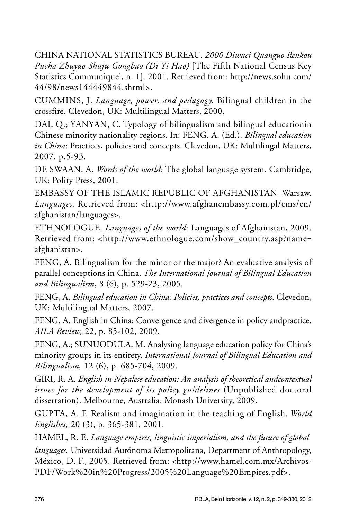CHINA NATIONAL STATISTICS BUREAU. *2000 Diwuci Quanguo Renkou Pucha Zhuyao Shuju Gongbao (Di Yi Hao)* [The Fifth National Census Key Statistics Communique', n. 1]*,* 2001. Retrieved from: http://news.sohu.com/ 44/98/news144449844.shtml>.

CUMMINS, J. *Language, power, and pedagogy.* Bilingual children in the crossfire*.* Clevedon, UK: Multilingual Matters, 2000.

DAI, Q.; YANYAN, C. Typology of bilingualism and bilingual educationin Chinese minority nationality regions. In: FENG. A. (Ed.). *Bilingual education in China*: Practices, policies and concepts. Clevedon, UK: Multilingal Matters, 2007. p.5-93.

DE SWAAN, A. *Words of the world*: The global language system*.* Cambridge, UK: Polity Press, 2001.

EMBASSY OF THE ISLAMIC REPUBLIC OF AFGHANISTAN–Warsaw. *Languages.* Retrieved from: <http://www.afghanembassy.com.pl/cms/en/ afghanistan/languages>.

ETHNOLOGUE. *Languages of the world*: Languages of Afghanistan, 2009. Retrieved from: <http://www.ethnologue.com/show\_country.asp?name= afghanistan>.

FENG, A. Bilingualism for the minor or the major? An evaluative analysis of parallel conceptions in China. *The International Journal of Bilingual Education and Bilingualism*, 8 (6), p. 529-23, 2005.

FENG, A. *Bilingual education in China: Policies, practices and concepts*. Clevedon, UK: Multilingual Matters, 2007.

FENG, A. English in China: Convergence and divergence in policy andpractice. *AILA Review,* 22, p. 85-102, 2009.

FENG, A.; SUNUODULA, M. Analysing language education policy for China's minority groups in its entirety. *International Journal of Bilingual Education and Bilingualism,* 12 (6), p. 685-704, 2009.

GIRI, R. A. *English in Nepalese education: An analysis of theoretical andcontextual issues for the development of its policy guidelines* (Unpublished doctoral dissertation). Melbourne, Australia: Monash University, 2009.

GUPTA, A. F. Realism and imagination in the teaching of English. *World Englishes,* 20 (3), p. 365-381, 2001.

HAMEL, R. E. *Language empires, linguistic imperialism, and the future of global languages.* Universidad Autónoma Metropolitana, Department of Anthropology, México, D. F., 2005. Retrieved from: <http://www.hamel.com.mx/Archivos-PDF/Work%20in%20Progress/2005%20Language%20Empires.pdf>.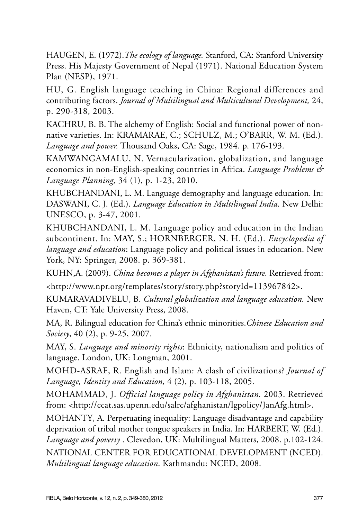HAUGEN, E. (1972).*The ecology of language.* Stanford, CA: Stanford University Press. His Majesty Government of Nepal (1971). National Education System Plan (NESP), 1971.

HU, G. English language teaching in China: Regional differences and contributing factors. *Journal of Multilingual and Multicultural Development,* 24, p. 290-318, 2003.

KACHRU, B. B. The alchemy of English: Social and functional power of nonnative varieties. In: KRAMARAE, C.; SCHULZ, M.; O'BARR, W. M. (Ed.). *Language and power.* Thousand Oaks, CA: Sage, 1984. p. 176-193.

KAMWANGAMALU, N. Vernacularization, globalization, and language economics in non-English-speaking countries in Africa. *Language Problems & Language Planning,* 34 (1), p. 1-23, 2010.

KHUBCHANDANI, L. M. Language demography and language education. In: DASWANI, C. J. (Ed.). *Language Education in Multilingual India.* New Delhi: UNESCO, p. 3-47, 2001.

KHUBCHANDANI, L. M. Language policy and education in the Indian subcontinent. In: MAY, S.; HORNBERGER, N. H. (Ed.). *Encyclopedia of language and education*: Language policy and political issues in education. New York, NY: Springer, 2008. p. 369-381.

KUHN,A. (2009). *China becomes a player in Afghanistan's future.* Retrieved from:

<http://www.npr.org/templates/story/story.php?storyId=113967842>.

KUMARAVADIVELU, B. *Cultural globalization and language education.* New Haven, CT: Yale University Press, 2008.

MA, R. Bilingual education for China's ethnic minorities.*Chinese Education and Society*, 40 (2), p. 9-25, 2007.

MAY, S. *Language and minority rights*: Ethnicity, nationalism and politics of language. London, UK: Longman, 2001.

MOHD-ASRAF, R. English and Islam: A clash of civilizations? *Journal of Language, Identity and Education,* 4 (2), p. 103-118, 2005.

MOHAMMAD, J. *Official language policy in Afghanistan.* 2003. Retrieved from: <http://ccat.sas.upenn.edu/salrc/afghanistan/lgpolicy/JanAfg.html>.

MOHANTY, A. Perpetuating inequality: Language disadvantage and capability deprivation of tribal mother tongue speakers in India. In: HARBERT, W. (Ed.). *Language and poverty* . Clevedon, UK: Multilingual Matters, 2008. p.102-124. NATIONAL CENTER FOR EDUCATIONAL DEVELOPMENT (NCED). *Multilingual language education*. Kathmandu: NCED, 2008.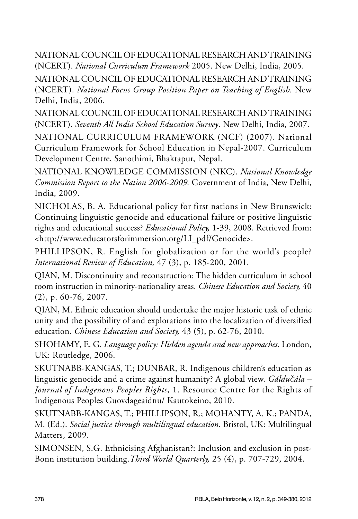NATIONAL COUNCIL OF EDUCATIONAL RESEARCH AND TRAINING (NCERT). *National Curriculum Framework* 2005. New Delhi, India, 2005.

NATIONAL COUNCIL OF EDUCATIONAL RESEARCH AND TRAINING (NCERT). *National Focus Group Position Paper on Teaching of English.* New Delhi, India, 2006.

NATIONAL COUNCIL OF EDUCATIONAL RESEARCH AND TRAINING (NCERT). *Seventh All India School Education Survey*. New Delhi, India, 2007.

NATIONAL CURRICULUM FRAMEWORK (NCF) (2007). National Curriculum Framework for School Education in Nepal-2007. Curriculum Development Centre, Sanothimi, Bhaktapur, Nepal.

NATIONAL KNOWLEDGE COMMISSION (NKC). *National Knowledge Commission Report to the Nation 2006-2009.* Government of India, New Delhi, India, 2009.

NICHOLAS, B. A. Educational policy for first nations in New Brunswick: Continuing linguistic genocide and educational failure or positive linguistic rights and educational success? *Educational Policy,* 1-39, 2008. Retrieved from: <http://www.educatorsforimmersion.org/LI\_pdf/Genocide>.

PHILLIPSON, R. English for globalization or for the world's people? *International Review of Education,* 47 (3), p. 185-200, 2001.

QIAN, M. Discontinuity and reconstruction: The hidden curriculum in school room instruction in minority-nationality areas. *Chinese Education and Society,* 40 (2), p. 60-76, 2007.

QIAN, M. Ethnic education should undertake the major historic task of ethnic unity and the possibility of and explorations into the localization of diversified education. *Chinese Education and Society,* 43 (5), p. 62-76, 2010.

SHOHAMY, E. G. *Language policy: Hidden agenda and new approaches.* London, UK: Routledge, 2006.

SKUTNABB-KANGAS, T.; DUNBAR, R. Indigenous children's education as linguistic genocide and a crime against humanity? A global view. Gáldučála – *Journal of Indigenous Peoples Rights*, 1. Resource Centre for the Rights of Indigenous Peoples Guovdageaidnu/ Kautokeino, 2010.

SKUTNABB-KANGAS, T.; PHILLIPSON, R.; MOHANTY, A. K.; PANDA, M. (Ed.). *Social justice through multilingual education*. Bristol, UK: Multilingual Matters, 2009.

SIMONSEN, S.G. Ethnicising Afghanistan?: Inclusion and exclusion in post-Bonn institution building.*Third World Quarterly,* 25 (4), p. 707-729, 2004.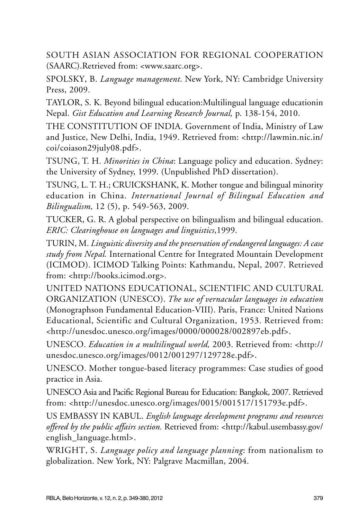SOUTH ASIAN ASSOCIATION FOR REGIONAL COOPERATION (SAARC).Retrieved from: <www.saarc.org>.

SPOLSKY, B. *Language management*. New York, NY: Cambridge University Press, 2009.

TAYLOR, S. K. Beyond bilingual education:Multilingual language educationin Nepal. *Gist Education and Learning Research Journal,* p. 138-154, 2010.

THE CONSTITUTION OF INDIA. Government of India, Ministry of Law and Justice, New Delhi, India, 1949. Retrieved from: <http://lawmin.nic.in/ coi/coiason29july08.pdf>.

TSUNG, T. H. *Minorities in China*: Language policy and education. Sydney: the University of Sydney, 1999. (Unpublished PhD dissertation).

TSUNG, L. T. H.; CRUICKSHANK, K. Mother tongue and bilingual minority education in China. *International Journal of Bilingual Education and Bilingualism,* 12 (5), p. 549-563, 2009.

TUCKER, G. R. A global perspective on bilingualism and bilingual education. *ERIC: Clearinghouse on languages and linguistics*,1999.

TURIN, M. *Linguistic diversity and the preservation of endangered languages: A case study from Nepal.* International Centre for Integrated Mountain Development (ICIMOD). ICIMOD Talking Points: Kathmandu, Nepal, 2007. Retrieved from: <http://books.icimod.org>.

UNITED NATIONS EDUCATIONAL, SCIENTIFIC AND CULTURAL ORGANIZATION (UNESCO). *The use of vernacular languages in education* (Monographson Fundamental Education-VIII). Paris, France: United Nations Educational, Scientific and Cultural Organization, 1953. Retrieved from: <http://unesdoc.unesco.org/images/0000/000028/002897eb.pdf>.

UNESCO. *Education in a multilingual world,* 2003. Retrieved from: <http:// unesdoc.unesco.org/images/0012/001297/129728e.pdf>.

UNESCO. Mother tongue-based literacy programmes: Case studies of good practice in Asia.

UNESCO Asia and Pacific Regional Bureau for Education: Bangkok, 2007. Retrieved from: <http://unesdoc.unesco.org/images/0015/001517/151793e.pdf>.

US EMBASSY IN KABUL. *English language development programs and resources offered by the public affairs section.* Retrieved from: <http://kabul.usembassy.gov/ english\_language.html>.

WRIGHT, S. *Language policy and language planning*: from nationalism to globalization. New York, NY: Palgrave Macmillan, 2004.